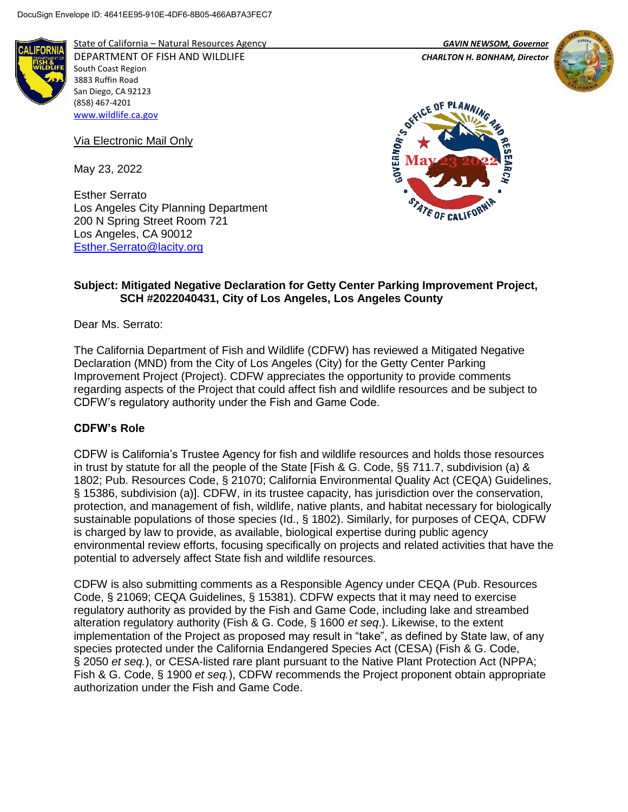

State of California – Natural Resources Agency *GAVIN NEWSOM, Governor* DEPARTMENT OF FISH AND WILDLIFE *CHARLTON H. BONHAM, Director*  South Coast Region 3883 Ruffin Road San Diego, CA 92123 (858) 467-4201 [www.wildlife.ca.gov](http://www.wildlife.ca.gov/)

Via Electronic Mail Only

May 23, 2022

Esther Serrato Los Angeles City Planning Department 200 N Spring Street Room 721 Los Angeles, CA 90012 [Esther.Serrato@lacity.org](mailto:Esther.Serrato@lacity.org)





## **Subject: Mitigated Negative Declaration for Getty Center Parking Improvement Project, SCH #2022040431, City of Los Angeles, Los Angeles County**

Dear Ms. Serrato:

The California Department of Fish and Wildlife (CDFW) has reviewed a Mitigated Negative Declaration (MND) from the City of Los Angeles (City) for the Getty Center Parking Improvement Project (Project). CDFW appreciates the opportunity to provide comments regarding aspects of the Project that could affect fish and wildlife resources and be subject to CDFW's regulatory authority under the Fish and Game Code.

# **CDFW's Role**

CDFW is California's Trustee Agency for fish and wildlife resources and holds those resources in trust by statute for all the people of the State [Fish & G. Code, §§ 711.7, subdivision (a) & 1802; Pub. Resources Code, § 21070; California Environmental Quality Act (CEQA) Guidelines, § 15386, subdivision (a)]. CDFW, in its trustee capacity, has jurisdiction over the conservation, protection, and management of fish, wildlife, native plants, and habitat necessary for biologically sustainable populations of those species (Id., § 1802). Similarly, for purposes of CEQA, CDFW is charged by law to provide, as available, biological expertise during public agency environmental review efforts, focusing specifically on projects and related activities that have the potential to adversely affect State fish and wildlife resources.

CDFW is also submitting comments as a Responsible Agency under CEQA (Pub. Resources Code, § 21069; CEQA Guidelines, § 15381). CDFW expects that it may need to exercise regulatory authority as provided by the Fish and Game Code, including lake and streambed alteration regulatory authority (Fish & G. Code, § 1600 *et seq*.). Likewise, to the extent implementation of the Project as proposed may result in "take", as defined by State law, of any species protected under the California Endangered Species Act (CESA) (Fish & G. Code, § 2050 *et seq.*), or CESA-listed rare plant pursuant to the Native Plant Protection Act (NPPA; Fish & G. Code, § 1900 *et seq.*), CDFW recommends the Project proponent obtain appropriate authorization under the Fish and Game Code.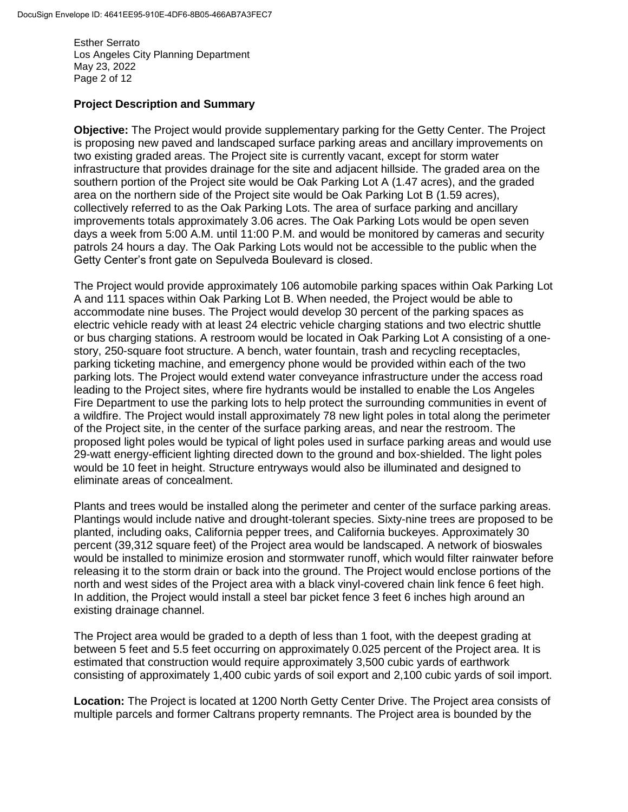Esther Serrato Los Angeles City Planning Department May 23, 2022 Page 2 of 12

## **Project Description and Summary**

**Objective:** The Project would provide supplementary parking for the Getty Center. The Project is proposing new paved and landscaped surface parking areas and ancillary improvements on two existing graded areas. The Project site is currently vacant, except for storm water infrastructure that provides drainage for the site and adjacent hillside. The graded area on the southern portion of the Project site would be Oak Parking Lot A (1.47 acres), and the graded area on the northern side of the Project site would be Oak Parking Lot B (1.59 acres), collectively referred to as the Oak Parking Lots. The area of surface parking and ancillary improvements totals approximately 3.06 acres. The Oak Parking Lots would be open seven days a week from 5:00 A.M. until 11:00 P.M. and would be monitored by cameras and security patrols 24 hours a day. The Oak Parking Lots would not be accessible to the public when the Getty Center's front gate on Sepulveda Boulevard is closed.

The Project would provide approximately 106 automobile parking spaces within Oak Parking Lot A and 111 spaces within Oak Parking Lot B. When needed, the Project would be able to accommodate nine buses. The Project would develop 30 percent of the parking spaces as electric vehicle ready with at least 24 electric vehicle charging stations and two electric shuttle or bus charging stations. A restroom would be located in Oak Parking Lot A consisting of a onestory, 250-square foot structure. A bench, water fountain, trash and recycling receptacles, parking ticketing machine, and emergency phone would be provided within each of the two parking lots. The Project would extend water conveyance infrastructure under the access road leading to the Project sites, where fire hydrants would be installed to enable the Los Angeles Fire Department to use the parking lots to help protect the surrounding communities in event of a wildfire. The Project would install approximately 78 new light poles in total along the perimeter of the Project site, in the center of the surface parking areas, and near the restroom. The proposed light poles would be typical of light poles used in surface parking areas and would use 29-watt energy-efficient lighting directed down to the ground and box-shielded. The light poles would be 10 feet in height. Structure entryways would also be illuminated and designed to eliminate areas of concealment.

Plants and trees would be installed along the perimeter and center of the surface parking areas. Plantings would include native and drought-tolerant species. Sixty-nine trees are proposed to be planted, including oaks, California pepper trees, and California buckeyes. Approximately 30 percent (39,312 square feet) of the Project area would be landscaped. A network of bioswales would be installed to minimize erosion and stormwater runoff, which would filter rainwater before releasing it to the storm drain or back into the ground. The Project would enclose portions of the north and west sides of the Project area with a black vinyl-covered chain link fence 6 feet high. In addition, the Project would install a steel bar picket fence 3 feet 6 inches high around an existing drainage channel.

The Project area would be graded to a depth of less than 1 foot, with the deepest grading at between 5 feet and 5.5 feet occurring on approximately 0.025 percent of the Project area. It is estimated that construction would require approximately 3,500 cubic yards of earthwork consisting of approximately 1,400 cubic yards of soil export and 2,100 cubic yards of soil import.

**Location:** The Project is located at 1200 North Getty Center Drive. The Project area consists of multiple parcels and former Caltrans property remnants. The Project area is bounded by the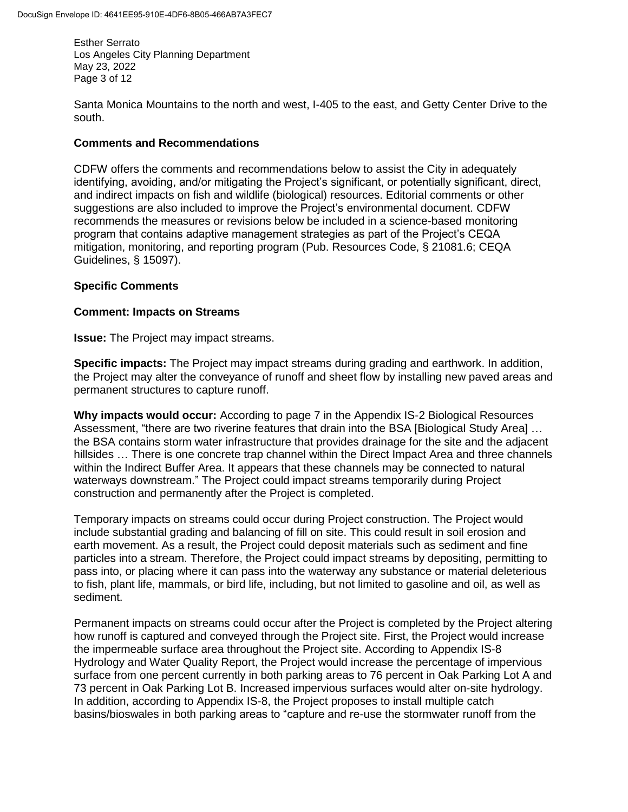Esther Serrato Los Angeles City Planning Department May 23, 2022 Page 3 of 12

Santa Monica Mountains to the north and west, I-405 to the east, and Getty Center Drive to the south.

## **Comments and Recommendations**

CDFW offers the comments and recommendations below to assist the City in adequately identifying, avoiding, and/or mitigating the Project's significant, or potentially significant, direct, and indirect impacts on fish and wildlife (biological) resources. Editorial comments or other suggestions are also included to improve the Project's environmental document. CDFW recommends the measures or revisions below be included in a science-based monitoring program that contains adaptive management strategies as part of the Project's CEQA mitigation, monitoring, and reporting program (Pub. Resources Code, § 21081.6; CEQA Guidelines, § 15097).

# **Specific Comments**

#### **Comment: Impacts on Streams**

**Issue:** The Project may impact streams.

**Specific impacts:** The Project may impact streams during grading and earthwork. In addition, the Project may alter the conveyance of runoff and sheet flow by installing new paved areas and permanent structures to capture runoff.

**Why impacts would occur:** According to page 7 in the Appendix IS-2 Biological Resources Assessment, "there are two riverine features that drain into the BSA [Biological Study Area] … the BSA contains storm water infrastructure that provides drainage for the site and the adjacent hillsides … There is one concrete trap channel within the Direct Impact Area and three channels within the Indirect Buffer Area. It appears that these channels may be connected to natural waterways downstream." The Project could impact streams temporarily during Project construction and permanently after the Project is completed.

Temporary impacts on streams could occur during Project construction. The Project would include substantial grading and balancing of fill on site. This could result in soil erosion and earth movement. As a result, the Project could deposit materials such as sediment and fine particles into a stream. Therefore, the Project could impact streams by depositing, permitting to pass into, or placing where it can pass into the waterway any substance or material deleterious to fish, plant life, mammals, or bird life, including, but not limited to gasoline and oil, as well as sediment.

Permanent impacts on streams could occur after the Project is completed by the Project altering how runoff is captured and conveyed through the Project site. First, the Project would increase the impermeable surface area throughout the Project site. According to Appendix IS-8 Hydrology and Water Quality Report, the Project would increase the percentage of impervious surface from one percent currently in both parking areas to 76 percent in Oak Parking Lot A and 73 percent in Oak Parking Lot B. Increased impervious surfaces would alter on-site hydrology. In addition, according to Appendix IS-8, the Project proposes to install multiple catch basins/bioswales in both parking areas to "capture and re-use the stormwater runoff from the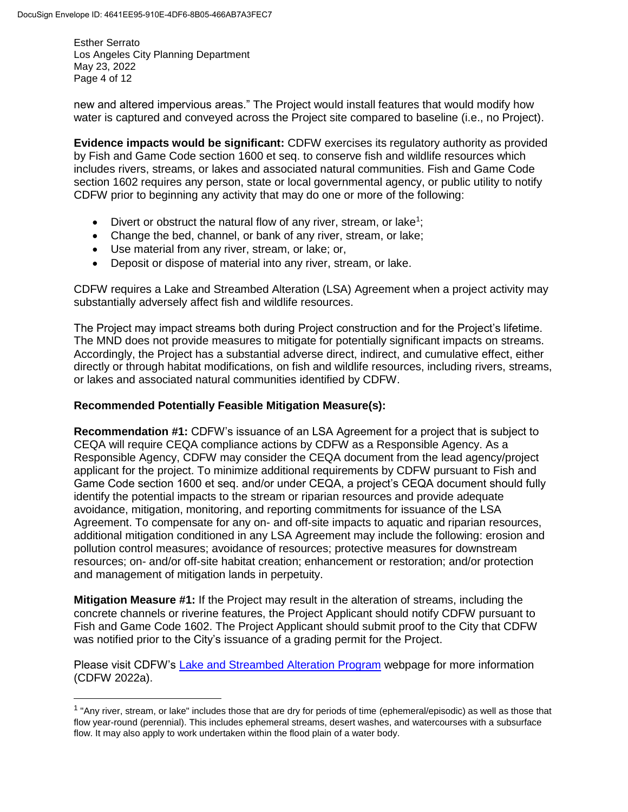$\overline{\phantom{a}}$ 

Esther Serrato Los Angeles City Planning Department May 23, 2022 Page 4 of 12

new and altered impervious areas." The Project would install features that would modify how water is captured and conveyed across the Project site compared to baseline (i.e., no Project).

**Evidence impacts would be significant:** CDFW exercises its regulatory authority as provided by Fish and Game Code section 1600 et seq. to conserve fish and wildlife resources which includes rivers, streams, or lakes and associated natural communities. Fish and Game Code section 1602 requires any person, state or local governmental agency, or public utility to notify CDFW prior to beginning any activity that may do one or more of the following:

- Divert or obstruct the natural flow of any river, stream, or lake<sup>1</sup>;
- Change the bed, channel, or bank of any river, stream, or lake;
- Use material from any river, stream, or lake; or,
- Deposit or dispose of material into any river, stream, or lake.

CDFW requires a Lake and Streambed Alteration (LSA) Agreement when a project activity may substantially adversely affect fish and wildlife resources.

The Project may impact streams both during Project construction and for the Project's lifetime. The MND does not provide measures to mitigate for potentially significant impacts on streams. Accordingly, the Project has a substantial adverse direct, indirect, and cumulative effect, either directly or through habitat modifications, on fish and wildlife resources, including rivers, streams, or lakes and associated natural communities identified by CDFW.

# **Recommended Potentially Feasible Mitigation Measure(s):**

**Recommendation #1:** CDFW's issuance of an LSA Agreement for a project that is subject to CEQA will require CEQA compliance actions by CDFW as a Responsible Agency. As a Responsible Agency, CDFW may consider the CEQA document from the lead agency/project applicant for the project. To minimize additional requirements by CDFW pursuant to Fish and Game Code section 1600 et seq. and/or under CEQA, a project's CEQA document should fully identify the potential impacts to the stream or riparian resources and provide adequate avoidance, mitigation, monitoring, and reporting commitments for issuance of the LSA Agreement. To compensate for any on- and off-site impacts to aquatic and riparian resources, additional mitigation conditioned in any LSA Agreement may include the following: erosion and pollution control measures; avoidance of resources; protective measures for downstream resources; on- and/or off-site habitat creation; enhancement or restoration; and/or protection and management of mitigation lands in perpetuity.

**Mitigation Measure #1:** If the Project may result in the alteration of streams, including the concrete channels or riverine features, the Project Applicant should notify CDFW pursuant to Fish and Game Code 1602. The Project Applicant should submit proof to the City that CDFW was notified prior to the City's issuance of a grading permit for the Project.

Please visit CDFW's [Lake and Streambed Alteration Program](https://wildlife.ca.gov/Conservation/LSA) webpage for more information (CDFW 2022a).

<sup>&</sup>lt;sup>1</sup> "Any river, stream, or lake" includes those that are dry for periods of time (ephemeral/episodic) as well as those that flow year-round (perennial). This includes ephemeral streams, desert washes, and watercourses with a subsurface flow. It may also apply to work undertaken within the flood plain of a water body.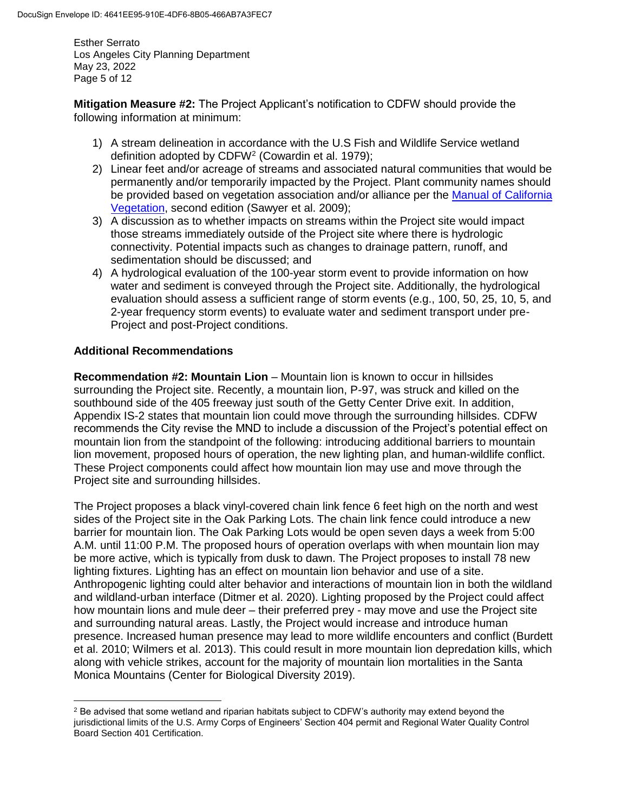Esther Serrato Los Angeles City Planning Department May 23, 2022 Page 5 of 12

**Mitigation Measure #2:** The Project Applicant's notification to CDFW should provide the following information at minimum:

- 1) A stream delineation in accordance with the U.S Fish and Wildlife Service wetland definition adopted by CDFW<sup>2</sup> (Cowardin et al. 1979);
- 2) Linear feet and/or acreage of streams and associated natural communities that would be permanently and/or temporarily impacted by the Project. Plant community names should be provided based on vegetation association and/or alliance per the [Manual of California](http://vegetation.cnps.org/)  [Vegetation,](http://vegetation.cnps.org/) second edition (Sawyer et al. 2009);
- 3) A discussion as to whether impacts on streams within the Project site would impact those streams immediately outside of the Project site where there is hydrologic connectivity. Potential impacts such as changes to drainage pattern, runoff, and sedimentation should be discussed; and
- 4) A hydrological evaluation of the 100-year storm event to provide information on how water and sediment is conveyed through the Project site. Additionally, the hydrological evaluation should assess a sufficient range of storm events (e.g., 100, 50, 25, 10, 5, and 2-year frequency storm events) to evaluate water and sediment transport under pre-Project and post-Project conditions.

# **Additional Recommendations**

 $\overline{\phantom{a}}$ 

**Recommendation #2: Mountain Lion** – Mountain lion is known to occur in hillsides surrounding the Project site. Recently, a mountain lion, P-97, was struck and killed on the southbound side of the 405 freeway just south of the Getty Center Drive exit. In addition, Appendix IS-2 states that mountain lion could move through the surrounding hillsides. CDFW recommends the City revise the MND to include a discussion of the Project's potential effect on mountain lion from the standpoint of the following: introducing additional barriers to mountain lion movement, proposed hours of operation, the new lighting plan, and human-wildlife conflict. These Project components could affect how mountain lion may use and move through the Project site and surrounding hillsides.

The Project proposes a black vinyl-covered chain link fence 6 feet high on the north and west sides of the Project site in the Oak Parking Lots. The chain link fence could introduce a new barrier for mountain lion. The Oak Parking Lots would be open seven days a week from 5:00 A.M. until 11:00 P.M. The proposed hours of operation overlaps with when mountain lion may be more active, which is typically from dusk to dawn. The Project proposes to install 78 new lighting fixtures. Lighting has an effect on mountain lion behavior and use of a site. Anthropogenic lighting could alter behavior and interactions of mountain lion in both the wildland and wildland-urban interface (Ditmer et al. 2020). Lighting proposed by the Project could affect how mountain lions and mule deer – their preferred prey - may move and use the Project site and surrounding natural areas. Lastly, the Project would increase and introduce human presence. Increased human presence may lead to more wildlife encounters and conflict (Burdett et al. 2010; Wilmers et al. 2013). This could result in more mountain lion depredation kills, which along with vehicle strikes, account for the majority of mountain lion mortalities in the Santa Monica Mountains (Center for Biological Diversity 2019).

 $2$  Be advised that some wetland and riparian habitats subject to CDFW's authority may extend beyond the jurisdictional limits of the U.S. Army Corps of Engineers' Section 404 permit and Regional Water Quality Control Board Section 401 Certification.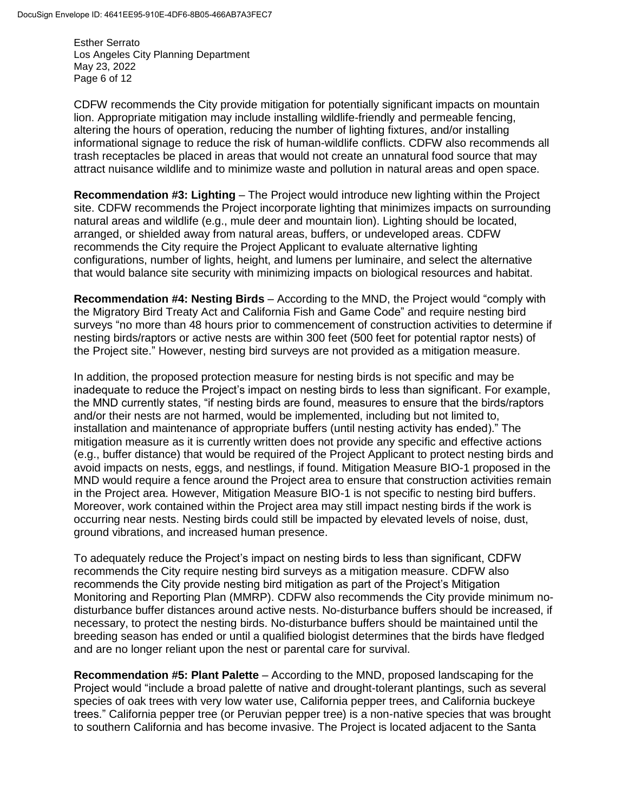Esther Serrato Los Angeles City Planning Department May 23, 2022 Page 6 of 12

CDFW recommends the City provide mitigation for potentially significant impacts on mountain lion. Appropriate mitigation may include installing wildlife-friendly and permeable fencing, altering the hours of operation, reducing the number of lighting fixtures, and/or installing informational signage to reduce the risk of human-wildlife conflicts. CDFW also recommends all trash receptacles be placed in areas that would not create an unnatural food source that may attract nuisance wildlife and to minimize waste and pollution in natural areas and open space.

**Recommendation #3: Lighting** – The Project would introduce new lighting within the Project site. CDFW recommends the Project incorporate lighting that minimizes impacts on surrounding natural areas and wildlife (e.g., mule deer and mountain lion). Lighting should be located, arranged, or shielded away from natural areas, buffers, or undeveloped areas. CDFW recommends the City require the Project Applicant to evaluate alternative lighting configurations, number of lights, height, and lumens per luminaire, and select the alternative that would balance site security with minimizing impacts on biological resources and habitat.

**Recommendation #4: Nesting Birds** – According to the MND, the Project would "comply with the Migratory Bird Treaty Act and California Fish and Game Code" and require nesting bird surveys "no more than 48 hours prior to commencement of construction activities to determine if nesting birds/raptors or active nests are within 300 feet (500 feet for potential raptor nests) of the Project site." However, nesting bird surveys are not provided as a mitigation measure.

In addition, the proposed protection measure for nesting birds is not specific and may be inadequate to reduce the Project's impact on nesting birds to less than significant. For example, the MND currently states, "if nesting birds are found, measures to ensure that the birds/raptors and/or their nests are not harmed, would be implemented, including but not limited to, installation and maintenance of appropriate buffers (until nesting activity has ended)." The mitigation measure as it is currently written does not provide any specific and effective actions (e.g., buffer distance) that would be required of the Project Applicant to protect nesting birds and avoid impacts on nests, eggs, and nestlings, if found. Mitigation Measure BIO-1 proposed in the MND would require a fence around the Project area to ensure that construction activities remain in the Project area. However, Mitigation Measure BIO-1 is not specific to nesting bird buffers. Moreover, work contained within the Project area may still impact nesting birds if the work is occurring near nests. Nesting birds could still be impacted by elevated levels of noise, dust, ground vibrations, and increased human presence.

To adequately reduce the Project's impact on nesting birds to less than significant, CDFW recommends the City require nesting bird surveys as a mitigation measure. CDFW also recommends the City provide nesting bird mitigation as part of the Project's Mitigation Monitoring and Reporting Plan (MMRP). CDFW also recommends the City provide minimum nodisturbance buffer distances around active nests. No-disturbance buffers should be increased, if necessary, to protect the nesting birds. No-disturbance buffers should be maintained until the breeding season has ended or until a qualified biologist determines that the birds have fledged and are no longer reliant upon the nest or parental care for survival.

**Recommendation #5: Plant Palette** – According to the MND, proposed landscaping for the Project would "include a broad palette of native and drought-tolerant plantings, such as several species of oak trees with very low water use, California pepper trees, and California buckeye trees." California pepper tree (or Peruvian pepper tree) is a non-native species that was brought to southern California and has become invasive. The Project is located adjacent to the Santa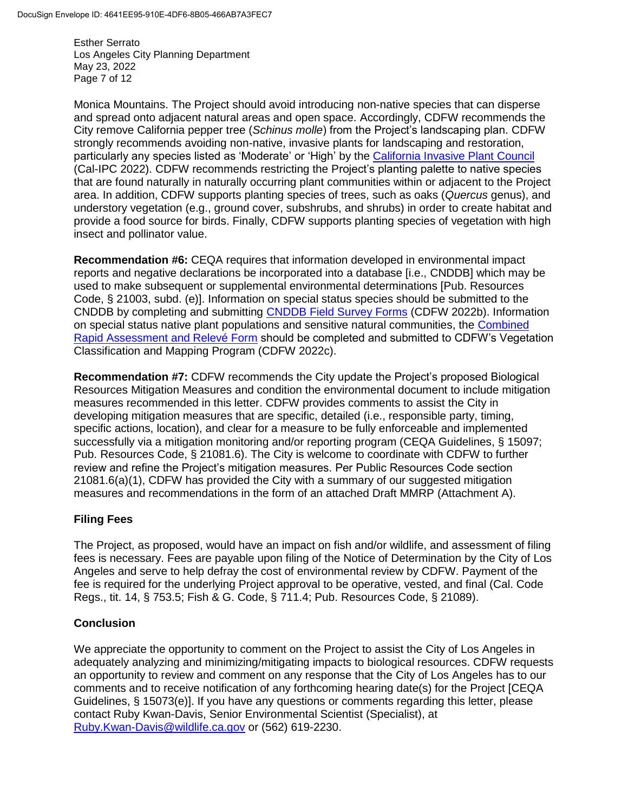Esther Serrato Los Angeles City Planning Department May 23, 2022 Page 7 of 12

Monica Mountains. The Project should avoid introducing non-native species that can disperse and spread onto adjacent natural areas and open space. Accordingly, CDFW recommends the City remove California pepper tree (*Schinus molle*) from the Project's landscaping plan. CDFW strongly recommends avoiding non-native, invasive plants for landscaping and restoration, particularly any species listed as 'Moderate' or 'High' by the [California Invasive Plant Council](https://www.cal-ipc.org/plants/inventory/) (Cal-IPC 2022). CDFW recommends restricting the Project's planting palette to native species that are found naturally in naturally occurring plant communities within or adjacent to the Project area. In addition, CDFW supports planting species of trees, such as oaks (*Quercus* genus), and understory vegetation (e.g., ground cover, subshrubs, and shrubs) in order to create habitat and provide a food source for birds. Finally, CDFW supports planting species of vegetation with high insect and pollinator value.

**Recommendation #6:** CEQA requires that information developed in environmental impact reports and negative declarations be incorporated into a database *li.e.*, CNDDBI which may be used to make subsequent or supplemental environmental determinations [Pub. Resources Code, § 21003, subd. (e)]. Information on special status species should be submitted to the CNDDB by completing and submitting [CNDDB Field Survey Forms](https://wildlife.ca.gov/Data/CNDDB/Submitting-Data) (CDFW 2022b). Information on special status native plant populations and sensitive natural communities, the [Combined](https://wildlife.ca.gov/Data/VegCAMP/Natural-Communities/Submit)  [Rapid Assessment and Relevé](https://wildlife.ca.gov/Data/VegCAMP/Natural-Communities/Submit) Form should be completed and submitted to CDFW's Vegetation Classification and Mapping Program (CDFW 2022c).

**Recommendation #7:** CDFW recommends the City update the Project's proposed Biological Resources Mitigation Measures and condition the environmental document to include mitigation measures recommended in this letter. CDFW provides comments to assist the City in developing mitigation measures that are specific, detailed (i.e., responsible party, timing, specific actions, location), and clear for a measure to be fully enforceable and implemented successfully via a mitigation monitoring and/or reporting program (CEQA Guidelines, § 15097; Pub. Resources Code, § 21081.6). The City is welcome to coordinate with CDFW to further review and refine the Project's mitigation measures. Per Public Resources Code section 21081.6(a)(1), CDFW has provided the City with a summary of our suggested mitigation measures and recommendations in the form of an attached Draft MMRP (Attachment A).

# **Filing Fees**

The Project, as proposed, would have an impact on fish and/or wildlife, and assessment of filing fees is necessary. Fees are payable upon filing of the Notice of Determination by the City of Los Angeles and serve to help defray the cost of environmental review by CDFW. Payment of the fee is required for the underlying Project approval to be operative, vested, and final (Cal. Code Regs., tit. 14, § 753.5; Fish & G. Code, § 711.4; Pub. Resources Code, § 21089).

# **Conclusion**

We appreciate the opportunity to comment on the Project to assist the City of Los Angeles in adequately analyzing and minimizing/mitigating impacts to biological resources. CDFW requests an opportunity to review and comment on any response that the City of Los Angeles has to our comments and to receive notification of any forthcoming hearing date(s) for the Project [CEQA Guidelines, § 15073(e)]. If you have any questions or comments regarding this letter, please contact Ruby Kwan-Davis, Senior Environmental Scientist (Specialist), at [Ruby.Kwan-Davis@wildlife.ca.gov](mailto:Ruby.Kwan-Davis@wildlife.ca.gov) or (562) 619-2230.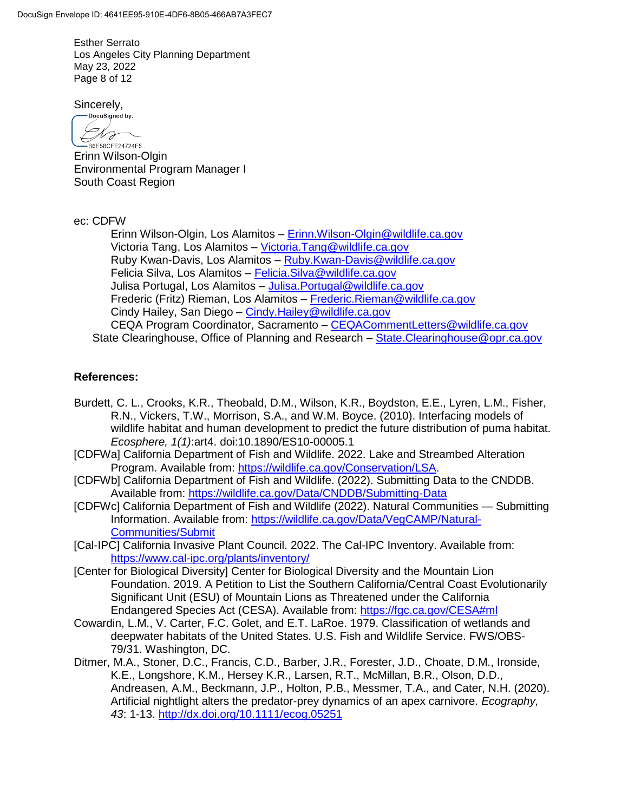Esther Serrato Los Angeles City Planning Department May 23, 2022 Page 8 of 12

Sincerely,

DocuSigned by: Dro -B6E58CFE24724F5...

Erinn Wilson-Olgin Environmental Program Manager I South Coast Region

ec: CDFW

Erinn Wilson-Olgin, Los Alamitos – [Erinn.Wilson-Olgin@wildlife.ca.gov](mailto:Erinn.Wilson-Olgin@wildlife.ca.gov) Victoria Tang, Los Alamitos – [Victoria.Tang@wildlife.ca.gov](mailto:Victoria.Tang@wildlife.ca.gov) Ruby Kwan-Davis, Los Alamitos – [Ruby.Kwan-Davis@wildlife.ca.gov](mailto:Ruby.Kwan-Davis@wildlife.ca.gov) Felicia Silva, Los Alamitos – [Felicia.Silva@wildlife.ca.gov](mailto:Felicia.Silva@wildlife.ca.gov) Julisa Portugal, Los Alamitos – [Julisa.Portugal@wildlife.ca.gov](mailto:Julisa.Portugal@wildlife.ca.gov) Frederic (Fritz) Rieman, Los Alamitos - [Frederic.Rieman@wildlife.ca.gov](mailto:Frederic.Rieman@wildlife.ca.gov) Cindy Hailey, San Diego – [Cindy.Hailey@wildlife.ca.gov](mailto:Cindy.Hailey@wildlife.ca.gov) CEQA Program Coordinator, Sacramento - CEQACommentLetters@wildlife.ca.gov State Clearinghouse, Office of Planning and Research - [State.Clearinghouse@opr.ca.gov](mailto:State.Clearinghouse@opr.ca.gov)

# **References:**

- Burdett, C. L., Crooks, K.R., Theobald, D.M., Wilson, K.R., Boydston, E.E., Lyren, L.M., Fisher, R.N., Vickers, T.W., Morrison, S.A., and W.M. Boyce. (2010). Interfacing models of wildlife habitat and human development to predict the future distribution of puma habitat. *Ecosphere, 1(1)*:art4. doi:10.1890/ES10-00005.1
- [CDFWa] California Department of Fish and Wildlife. 2022. Lake and Streambed Alteration Program. Available from: [https://wildlife.ca.gov/Conservation/LSA.](https://wildlife.ca.gov/Conservation/LSA)
- [CDFWb] California Department of Fish and Wildlife. (2022). Submitting Data to the CNDDB. Available from:<https://wildlife.ca.gov/Data/CNDDB/Submitting-Data>
- [CDFWc] California Department of Fish and Wildlife (2022). Natural Communities Submitting Information. Available from: [https://wildlife.ca.gov/Data/VegCAMP/Natural-](https://wildlife.ca.gov/Data/VegCAMP/Natural-Communities/Submit)[Communities/Submit](https://wildlife.ca.gov/Data/VegCAMP/Natural-Communities/Submit)
- [Cal-IPC] California Invasive Plant Council. 2022. The Cal-IPC Inventory. Available from: <https://www.cal-ipc.org/plants/inventory/>
- [Center for Biological Diversity] Center for Biological Diversity and the Mountain Lion Foundation. 2019. A Petition to List the Southern California/Central Coast Evolutionarily Significant Unit (ESU) of Mountain Lions as Threatened under the California Endangered Species Act (CESA). Available from:<https://fgc.ca.gov/CESA#ml>
- Cowardin, L.M., V. Carter, F.C. Golet, and E.T. LaRoe. 1979. Classification of wetlands and deepwater habitats of the United States. U.S. Fish and Wildlife Service. FWS/OBS-79/31. Washington, DC.
- Ditmer, M.A., Stoner, D.C., Francis, C.D., Barber, J.R., Forester, J.D., Choate, D.M., Ironside, K.E., Longshore, K.M., Hersey K.R., Larsen, R.T., McMillan, B.R., Olson, D.D., Andreasen, A.M., Beckmann, J.P., Holton, P.B., Messmer, T.A., and Cater, N.H. (2020). Artificial nightlight alters the predator-prey dynamics of an apex carnivore. *Ecography, 43*: 1-13. <http://dx.doi.org/10.1111/ecog.05251>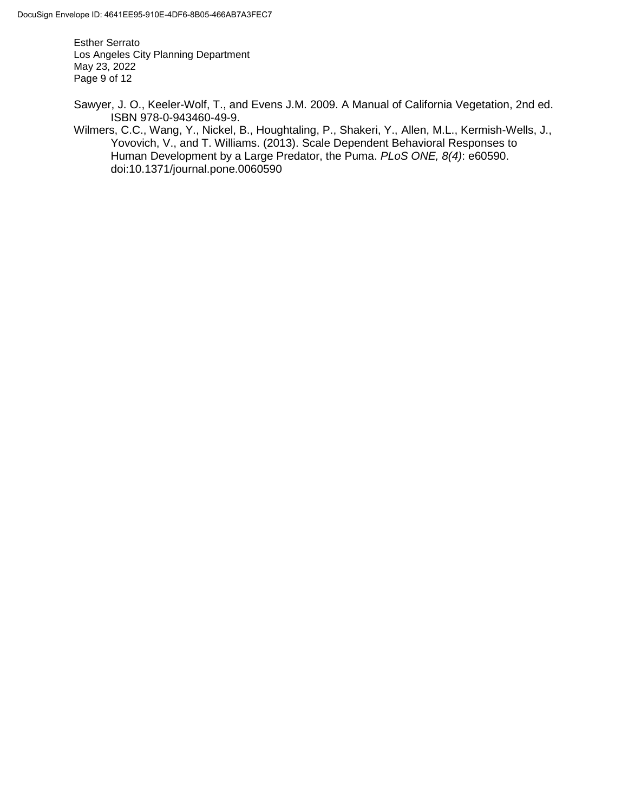Esther Serrato Los Angeles City Planning Department May 23, 2022 Page 9 of 12

- Sawyer, J. O., Keeler-Wolf, T., and Evens J.M. 2009. A Manual of California Vegetation, 2nd ed. ISBN 978-0-943460-49-9.
- Wilmers, C.C., Wang, Y., Nickel, B., Houghtaling, P., Shakeri, Y., Allen, M.L., Kermish-Wells, J., Yovovich, V., and T. Williams. (2013). Scale Dependent Behavioral Responses to Human Development by a Large Predator, the Puma. *PLoS ONE, 8(4)*: e60590. doi:10.1371/journal.pone.0060590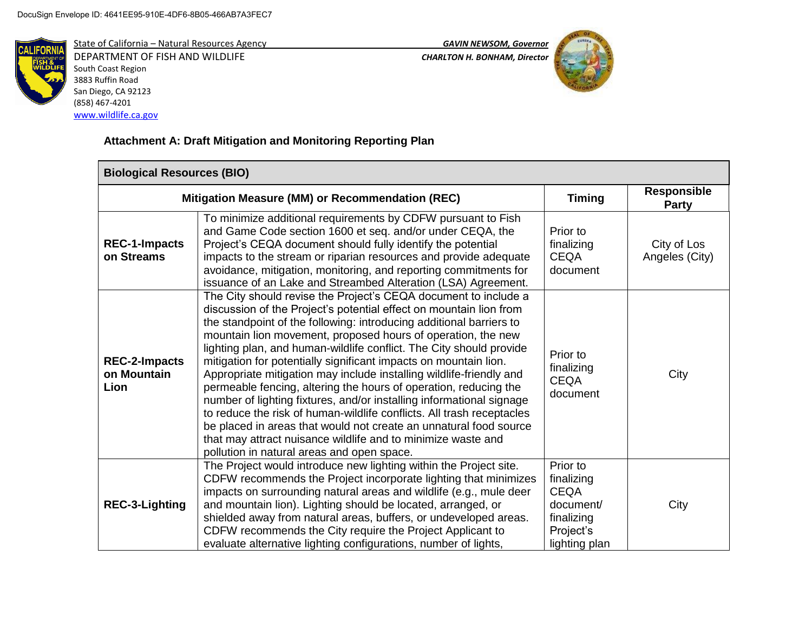[www.wildlife.ca.gov](http://www.wildlife.ca.gov/)



State of California – Natural Resources Agency *GAVIN NEWSOM, Governor* DEPARTMENT OF FISH AND WILDLIFE *CHARLTON H. BONHAM, Director*  South Coast Region 3883 Ruffin Road San Diego, CA 92123 (858) 467-4201



# **Attachment A: Draft Mitigation and Monitoring Reporting Plan**

| <b>Biological Resources (BIO)</b>               |                                                                                                                                                                                                                                                                                                                                                                                                                                                                                                                                                                                                                                                                                                                                                                                                                                                                                                        |                                                                                                |                               |  |  |
|-------------------------------------------------|--------------------------------------------------------------------------------------------------------------------------------------------------------------------------------------------------------------------------------------------------------------------------------------------------------------------------------------------------------------------------------------------------------------------------------------------------------------------------------------------------------------------------------------------------------------------------------------------------------------------------------------------------------------------------------------------------------------------------------------------------------------------------------------------------------------------------------------------------------------------------------------------------------|------------------------------------------------------------------------------------------------|-------------------------------|--|--|
| Mitigation Measure (MM) or Recommendation (REC) |                                                                                                                                                                                                                                                                                                                                                                                                                                                                                                                                                                                                                                                                                                                                                                                                                                                                                                        | <b>Timing</b>                                                                                  | <b>Responsible</b><br>Party   |  |  |
| <b>REC-1-Impacts</b><br>on Streams              | To minimize additional requirements by CDFW pursuant to Fish<br>and Game Code section 1600 et seq. and/or under CEQA, the<br>Project's CEQA document should fully identify the potential<br>impacts to the stream or riparian resources and provide adequate<br>avoidance, mitigation, monitoring, and reporting commitments for<br>issuance of an Lake and Streambed Alteration (LSA) Agreement.                                                                                                                                                                                                                                                                                                                                                                                                                                                                                                      | Prior to<br>finalizing<br><b>CEQA</b><br>document                                              | City of Los<br>Angeles (City) |  |  |
| <b>REC-2-Impacts</b><br>on Mountain<br>Lion     | The City should revise the Project's CEQA document to include a<br>discussion of the Project's potential effect on mountain lion from<br>the standpoint of the following: introducing additional barriers to<br>mountain lion movement, proposed hours of operation, the new<br>lighting plan, and human-wildlife conflict. The City should provide<br>mitigation for potentially significant impacts on mountain lion.<br>Appropriate mitigation may include installing wildlife-friendly and<br>permeable fencing, altering the hours of operation, reducing the<br>number of lighting fixtures, and/or installing informational signage<br>to reduce the risk of human-wildlife conflicts. All trash receptacles<br>be placed in areas that would not create an unnatural food source<br>that may attract nuisance wildlife and to minimize waste and<br>pollution in natural areas and open space. | Prior to<br>finalizing<br><b>CEQA</b><br>document                                              | City                          |  |  |
| <b>REC-3-Lighting</b>                           | The Project would introduce new lighting within the Project site.<br>CDFW recommends the Project incorporate lighting that minimizes<br>impacts on surrounding natural areas and wildlife (e.g., mule deer<br>and mountain lion). Lighting should be located, arranged, or<br>shielded away from natural areas, buffers, or undeveloped areas.<br>CDFW recommends the City require the Project Applicant to<br>evaluate alternative lighting configurations, number of lights,                                                                                                                                                                                                                                                                                                                                                                                                                         | Prior to<br>finalizing<br><b>CEQA</b><br>document/<br>finalizing<br>Project's<br>lighting plan | City                          |  |  |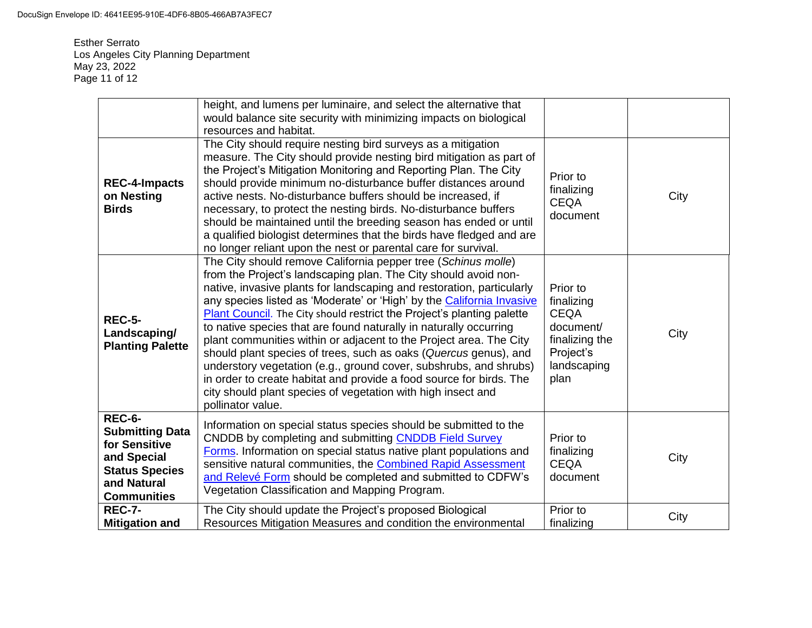Esther Serrato Los Angeles City Planning Department May 23, 2022 Page 11 of 12

|                                                                                                                                       | height, and lumens per luminaire, and select the alternative that<br>would balance site security with minimizing impacts on biological<br>resources and habitat.                                                                                                                                                                                                                                                                                                                                                                                                                                                                                                                                                                                                                                                    |                                                                                                          |      |
|---------------------------------------------------------------------------------------------------------------------------------------|---------------------------------------------------------------------------------------------------------------------------------------------------------------------------------------------------------------------------------------------------------------------------------------------------------------------------------------------------------------------------------------------------------------------------------------------------------------------------------------------------------------------------------------------------------------------------------------------------------------------------------------------------------------------------------------------------------------------------------------------------------------------------------------------------------------------|----------------------------------------------------------------------------------------------------------|------|
| <b>REC-4-Impacts</b><br>on Nesting<br><b>Birds</b>                                                                                    | The City should require nesting bird surveys as a mitigation<br>measure. The City should provide nesting bird mitigation as part of<br>the Project's Mitigation Monitoring and Reporting Plan. The City<br>should provide minimum no-disturbance buffer distances around<br>active nests. No-disturbance buffers should be increased, if<br>necessary, to protect the nesting birds. No-disturbance buffers<br>should be maintained until the breeding season has ended or until<br>a qualified biologist determines that the birds have fledged and are<br>no longer reliant upon the nest or parental care for survival.                                                                                                                                                                                          | Prior to<br>finalizing<br><b>CEQA</b><br>document                                                        | City |
| <b>REC-5-</b><br>Landscaping/<br><b>Planting Palette</b>                                                                              | The City should remove California pepper tree (Schinus molle)<br>from the Project's landscaping plan. The City should avoid non-<br>native, invasive plants for landscaping and restoration, particularly<br>any species listed as 'Moderate' or 'High' by the California Invasive<br><b>Plant Council.</b> The City should restrict the Project's planting palette<br>to native species that are found naturally in naturally occurring<br>plant communities within or adjacent to the Project area. The City<br>should plant species of trees, such as oaks (Quercus genus), and<br>understory vegetation (e.g., ground cover, subshrubs, and shrubs)<br>in order to create habitat and provide a food source for birds. The<br>city should plant species of vegetation with high insect and<br>pollinator value. | Prior to<br>finalizing<br><b>CEQA</b><br>document/<br>finalizing the<br>Project's<br>landscaping<br>plan | City |
| <b>REC-6-</b><br><b>Submitting Data</b><br>for Sensitive<br>and Special<br><b>Status Species</b><br>and Natural<br><b>Communities</b> | Information on special status species should be submitted to the<br>CNDDB by completing and submitting CNDDB Field Survey<br>Forms. Information on special status native plant populations and<br>sensitive natural communities, the Combined Rapid Assessment<br>and Relevé Form should be completed and submitted to CDFW's<br>Vegetation Classification and Mapping Program.                                                                                                                                                                                                                                                                                                                                                                                                                                     | Prior to<br>finalizing<br><b>CEQA</b><br>document                                                        | City |
| <b>REC-7-</b><br><b>Mitigation and</b>                                                                                                | The City should update the Project's proposed Biological<br>Resources Mitigation Measures and condition the environmental                                                                                                                                                                                                                                                                                                                                                                                                                                                                                                                                                                                                                                                                                           | Prior to<br>finalizing                                                                                   | City |